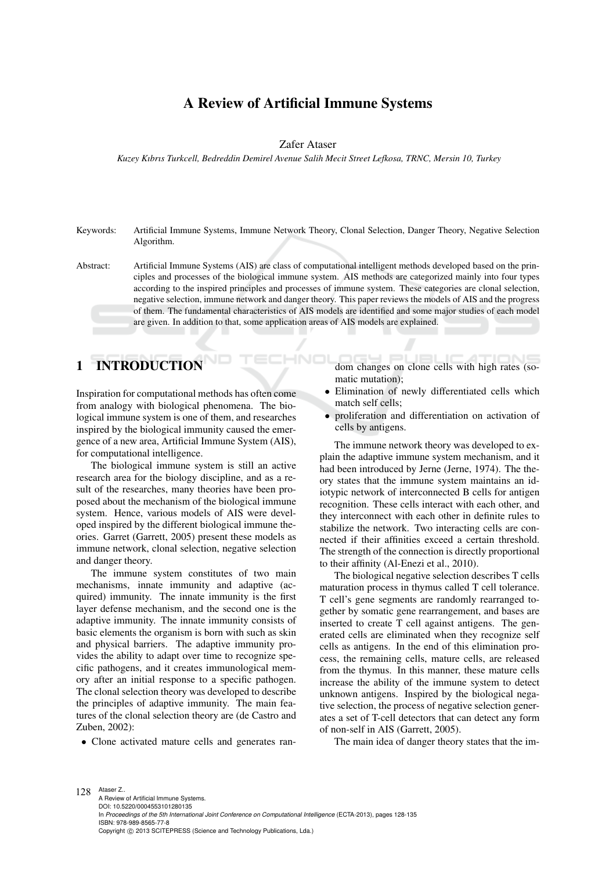# A Review of Artificial Immune Systems

Zafer Ataser

*Kuzey Kıbrıs Turkcell, Bedreddin Demirel Avenue Salih Mecit Street Lefkosa, TRNC, Mersin 10, Turkey*

Keywords: Artificial Immune Systems, Immune Network Theory, Clonal Selection, Danger Theory, Negative Selection Algorithm.

Abstract: Artificial Immune Systems (AIS) are class of computational intelligent methods developed based on the principles and processes of the biological immune system. AIS methods are categorized mainly into four types according to the inspired principles and processes of immune system. These categories are clonal selection, negative selection, immune network and danger theory. This paper reviews the models of AIS and the progress of them. The fundamental characteristics of AIS models are identified and some major studies of each model are given. In addition to that, some application areas of AIS models are explained.

**INO** 

# 1 INTRODUCTION

Inspiration for computational methods has often come from analogy with biological phenomena. The biological immune system is one of them, and researches inspired by the biological immunity caused the emergence of a new area, Artificial Immune System (AIS), for computational intelligence.

The biological immune system is still an active research area for the biology discipline, and as a result of the researches, many theories have been proposed about the mechanism of the biological immune system. Hence, various models of AIS were developed inspired by the different biological immune theories. Garret (Garrett, 2005) present these models as immune network, clonal selection, negative selection and danger theory.

The immune system constitutes of two main mechanisms, innate immunity and adaptive (acquired) immunity. The innate immunity is the first layer defense mechanism, and the second one is the adaptive immunity. The innate immunity consists of basic elements the organism is born with such as skin and physical barriers. The adaptive immunity provides the ability to adapt over time to recognize specific pathogens, and it creates immunological memory after an initial response to a specific pathogen. The clonal selection theory was developed to describe the principles of adaptive immunity. The main features of the clonal selection theory are (de Castro and Zuben, 2002):

• Clone activated mature cells and generates ran-

dom changes on clone cells with high rates (somatic mutation);

- Elimination of newly differentiated cells which match self cells;
- proliferation and differentiation on activation of cells by antigens.

The immune network theory was developed to explain the adaptive immune system mechanism, and it had been introduced by Jerne (Jerne, 1974). The theory states that the immune system maintains an idiotypic network of interconnected B cells for antigen recognition. These cells interact with each other, and they interconnect with each other in definite rules to stabilize the network. Two interacting cells are connected if their affinities exceed a certain threshold. The strength of the connection is directly proportional to their affinity (Al-Enezi et al., 2010).

The biological negative selection describes T cells maturation process in thymus called T cell tolerance. T cell's gene segments are randomly rearranged together by somatic gene rearrangement, and bases are inserted to create T cell against antigens. The generated cells are eliminated when they recognize self cells as antigens. In the end of this elimination process, the remaining cells, mature cells, are released from the thymus. In this manner, these mature cells increase the ability of the immune system to detect unknown antigens. Inspired by the biological negative selection, the process of negative selection generates a set of T-cell detectors that can detect any form of non-self in AIS (Garrett, 2005).

The main idea of danger theory states that the im-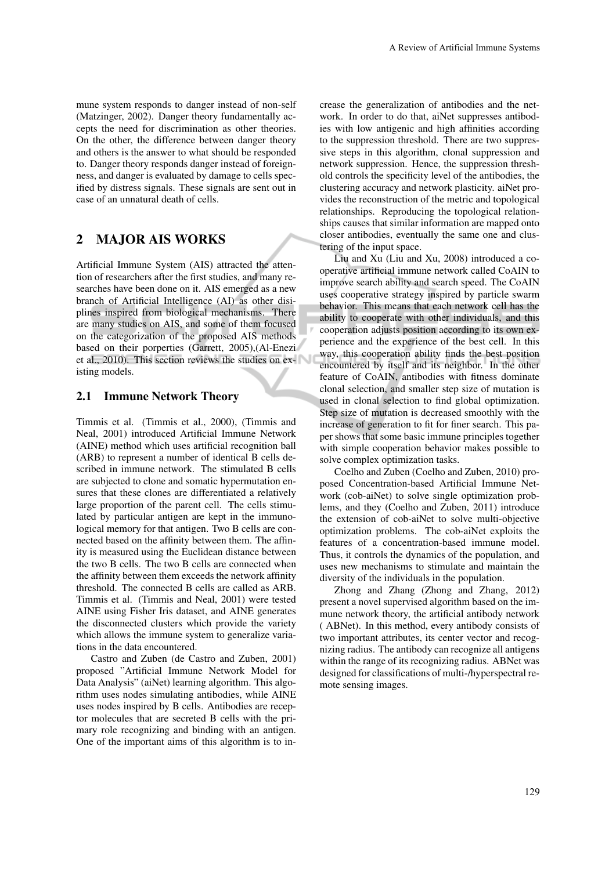mune system responds to danger instead of non-self (Matzinger, 2002). Danger theory fundamentally accepts the need for discrimination as other theories. On the other, the difference between danger theory and others is the answer to what should be responded to. Danger theory responds danger instead of foreignness, and danger is evaluated by damage to cells specified by distress signals. These signals are sent out in case of an unnatural death of cells.

# 2 MAJOR AIS WORKS

Artificial Immune System (AIS) attracted the attention of researchers after the first studies, and many researches have been done on it. AIS emerged as a new branch of Artificial Intelligence (AI) as other disiplines inspired from biological mechanisms. There are many studies on AIS, and some of them focused on the categorization of the proposed AIS methods based on their porperties (Garrett, 2005),(Al-Enezi et al., 2010). This section reviews the studies on existing models.

#### 2.1 Immune Network Theory

Timmis et al. (Timmis et al., 2000), (Timmis and Neal, 2001) introduced Artificial Immune Network (AINE) method which uses artificial recognition ball (ARB) to represent a number of identical B cells described in immune network. The stimulated B cells are subjected to clone and somatic hypermutation ensures that these clones are differentiated a relatively large proportion of the parent cell. The cells stimulated by particular antigen are kept in the immunological memory for that antigen. Two B cells are connected based on the affinity between them. The affinity is measured using the Euclidean distance between the two B cells. The two B cells are connected when the affinity between them exceeds the network affinity threshold. The connected B cells are called as ARB. Timmis et al. (Timmis and Neal, 2001) were tested AINE using Fisher Iris dataset, and AINE generates the disconnected clusters which provide the variety which allows the immune system to generalize variations in the data encountered.

Castro and Zuben (de Castro and Zuben, 2001) proposed "Artificial Immune Network Model for Data Analysis" (aiNet) learning algorithm. This algorithm uses nodes simulating antibodies, while AINE uses nodes inspired by B cells. Antibodies are receptor molecules that are secreted B cells with the primary role recognizing and binding with an antigen. One of the important aims of this algorithm is to increase the generalization of antibodies and the network. In order to do that, aiNet suppresses antibodies with low antigenic and high affinities according to the suppression threshold. There are two suppressive steps in this algorithm, clonal suppression and network suppression. Hence, the suppression threshold controls the specificity level of the antibodies, the clustering accuracy and network plasticity. aiNet provides the reconstruction of the metric and topological relationships. Reproducing the topological relationships causes that similar information are mapped onto closer antibodies, eventually the same one and clustering of the input space.

Liu and Xu (Liu and Xu, 2008) introduced a cooperative artificial immune network called CoAIN to improve search ability and search speed. The CoAIN uses cooperative strategy inspired by particle swarm behavior. This means that each network cell has the ability to cooperate with other individuals, and this cooperation adjusts position according to its own experience and the experience of the best cell. In this way, this cooperation ability finds the best position encountered by itself and its neighbor. In the other feature of CoAIN, antibodies with fitness dominate clonal selection, and smaller step size of mutation is used in clonal selection to find global optimization. Step size of mutation is decreased smoothly with the increase of generation to fit for finer search. This paper shows that some basic immune principles together with simple cooperation behavior makes possible to solve complex optimization tasks.

Coelho and Zuben (Coelho and Zuben, 2010) proposed Concentration-based Artificial Immune Network (cob-aiNet) to solve single optimization problems, and they (Coelho and Zuben, 2011) introduce the extension of cob-aiNet to solve multi-objective optimization problems. The cob-aiNet exploits the features of a concentration-based immune model. Thus, it controls the dynamics of the population, and uses new mechanisms to stimulate and maintain the diversity of the individuals in the population.

Zhong and Zhang (Zhong and Zhang, 2012) present a novel supervised algorithm based on the immune network theory, the artificial antibody network ( ABNet). In this method, every antibody consists of two important attributes, its center vector and recognizing radius. The antibody can recognize all antigens within the range of its recognizing radius. ABNet was designed for classifications of multi-/hyperspectral remote sensing images.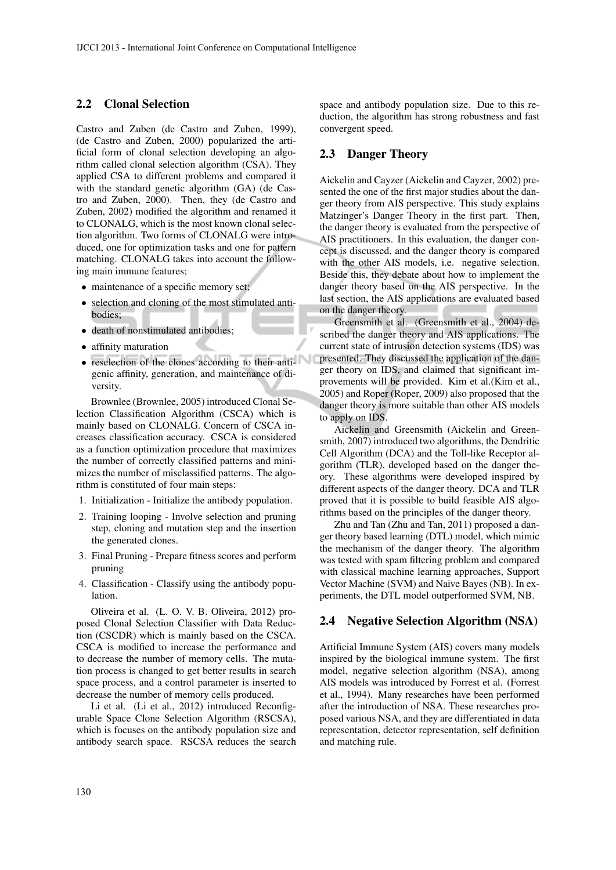#### 2.2 Clonal Selection

Castro and Zuben (de Castro and Zuben, 1999), (de Castro and Zuben, 2000) popularized the artificial form of clonal selection developing an algorithm called clonal selection algorithm (CSA). They applied CSA to different problems and compared it with the standard genetic algorithm (GA) (de Castro and Zuben, 2000). Then, they (de Castro and Zuben, 2002) modified the algorithm and renamed it to CLONALG, which is the most known clonal selection algorithm. Two forms of CLONALG were introduced, one for optimization tasks and one for pattern matching. CLONALG takes into account the following main immune features;

- maintenance of a specific memory set;
- selection and cloning of the most stimulated antibodies;
- death of nonstimulated antibodies;
- affinity maturation
- reselection of the clones according to their antigenic affinity, generation, and maintenance of diversity.

Brownlee (Brownlee, 2005) introduced Clonal Selection Classification Algorithm (CSCA) which is mainly based on CLONALG. Concern of CSCA increases classification accuracy. CSCA is considered as a function optimization procedure that maximizes the number of correctly classified patterns and minimizes the number of misclassified patterns. The algorithm is constituted of four main steps:

- 1. Initialization Initialize the antibody population.
- 2. Training looping Involve selection and pruning step, cloning and mutation step and the insertion the generated clones.
- 3. Final Pruning Prepare fitness scores and perform pruning
- 4. Classification Classify using the antibody population.

Oliveira et al. (L. O. V. B. Oliveira, 2012) proposed Clonal Selection Classifier with Data Reduction (CSCDR) which is mainly based on the CSCA. CSCA is modified to increase the performance and to decrease the number of memory cells. The mutation process is changed to get better results in search space process, and a control parameter is inserted to decrease the number of memory cells produced.

Li et al. (Li et al., 2012) introduced Reconfigurable Space Clone Selection Algorithm (RSCSA), which is focuses on the antibody population size and antibody search space. RSCSA reduces the search

space and antibody population size. Due to this reduction, the algorithm has strong robustness and fast convergent speed.

### 2.3 Danger Theory

◡

Aickelin and Cayzer (Aickelin and Cayzer, 2002) presented the one of the first major studies about the danger theory from AIS perspective. This study explains Matzinger's Danger Theory in the first part. Then, the danger theory is evaluated from the perspective of AIS practitioners. In this evaluation, the danger concept is discussed, and the danger theory is compared with the other AIS models, i.e. negative selection. Beside this, they debate about how to implement the danger theory based on the AIS perspective. In the last section, the AIS applications are evaluated based on the danger theory.

Greensmith et al. (Greensmith et al., 2004) described the danger theory and AIS applications. The current state of intrusion detection systems (IDS) was presented. They discussed the application of the danger theory on IDS, and claimed that significant improvements will be provided. Kim et al.(Kim et al., 2005) and Roper (Roper, 2009) also proposed that the danger theory is more suitable than other AIS models to apply on IDS.

Aickelin and Greensmith (Aickelin and Greensmith, 2007) introduced two algorithms, the Dendritic Cell Algorithm (DCA) and the Toll-like Receptor algorithm (TLR), developed based on the danger theory. These algorithms were developed inspired by different aspects of the danger theory. DCA and TLR proved that it is possible to build feasible AIS algorithms based on the principles of the danger theory.

Zhu and Tan (Zhu and Tan, 2011) proposed a danger theory based learning (DTL) model, which mimic the mechanism of the danger theory. The algorithm was tested with spam filtering problem and compared with classical machine learning approaches, Support Vector Machine (SVM) and Naive Bayes (NB). In experiments, the DTL model outperformed SVM, NB.

### 2.4 Negative Selection Algorithm (NSA)

Artificial Immune System (AIS) covers many models inspired by the biological immune system. The first model, negative selection algorithm (NSA), among AIS models was introduced by Forrest et al. (Forrest et al., 1994). Many researches have been performed after the introduction of NSA. These researches proposed various NSA, and they are differentiated in data representation, detector representation, self definition and matching rule.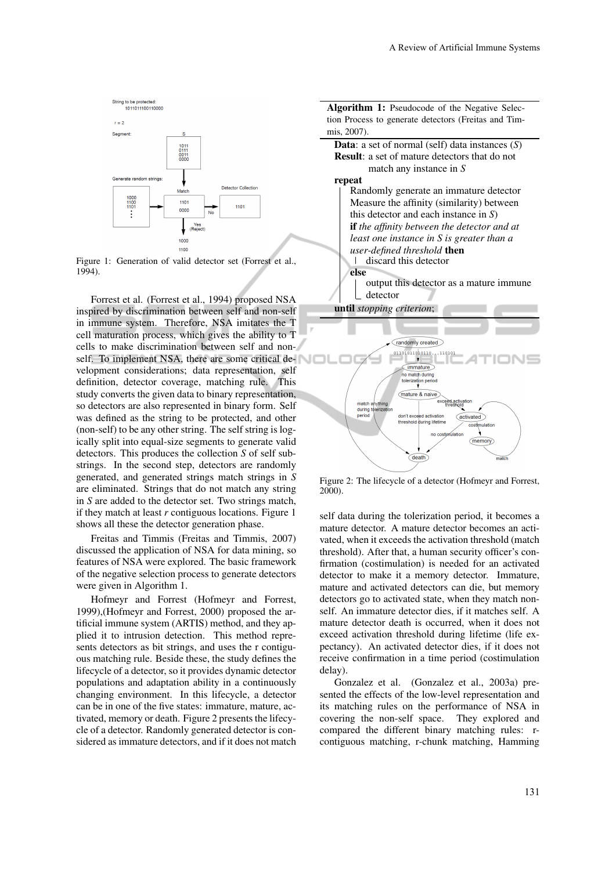

Figure 1: Generation of valid detector set (Forrest et al., 1994).

Forrest et al. (Forrest et al., 1994) proposed NSA inspired by discrimination between self and non-self in immune system. Therefore, NSA imitates the T cell maturation process, which gives the ability to T cells to make discrimination between self and nonself. To implement NSA, there are some critical development considerations; data representation, self definition, detector coverage, matching rule. This study converts the given data to binary representation, so detectors are also represented in binary form. Self was defined as the string to be protected, and other (non-self) to be any other string. The self string is logically split into equal-size segments to generate valid detectors. This produces the collection *S* of self substrings. In the second step, detectors are randomly generated, and generated strings match strings in *S* are eliminated. Strings that do not match any string in *S* are added to the detector set. Two strings match, if they match at least *r* contiguous locations. Figure 1 shows all these the detector generation phase.

Freitas and Timmis (Freitas and Timmis, 2007) discussed the application of NSA for data mining, so features of NSA were explored. The basic framework of the negative selection process to generate detectors were given in Algorithm 1.

Hofmeyr and Forrest (Hofmeyr and Forrest, 1999),(Hofmeyr and Forrest, 2000) proposed the artificial immune system (ARTIS) method, and they applied it to intrusion detection. This method represents detectors as bit strings, and uses the r contiguous matching rule. Beside these, the study defines the lifecycle of a detector, so it provides dynamic detector populations and adaptation ability in a continuously changing environment. In this lifecycle, a detector can be in one of the five states: immature, mature, activated, memory or death. Figure 2 presents the lifecycle of a detector. Randomly generated detector is considered as immature detectors, and if it does not match



Figure 2: The lifecycle of a detector (Hofmeyr and Forrest, 2000).

self data during the tolerization period, it becomes a mature detector. A mature detector becomes an activated, when it exceeds the activation threshold (match threshold). After that, a human security officer's confirmation (costimulation) is needed for an activated detector to make it a memory detector. Immature, mature and activated detectors can die, but memory detectors go to activated state, when they match nonself. An immature detector dies, if it matches self. A mature detector death is occurred, when it does not exceed activation threshold during lifetime (life expectancy). An activated detector dies, if it does not receive confirmation in a time period (costimulation delay).

Gonzalez et al. (Gonzalez et al., 2003a) presented the effects of the low-level representation and its matching rules on the performance of NSA in covering the non-self space. They explored and compared the different binary matching rules: rcontiguous matching, r-chunk matching, Hamming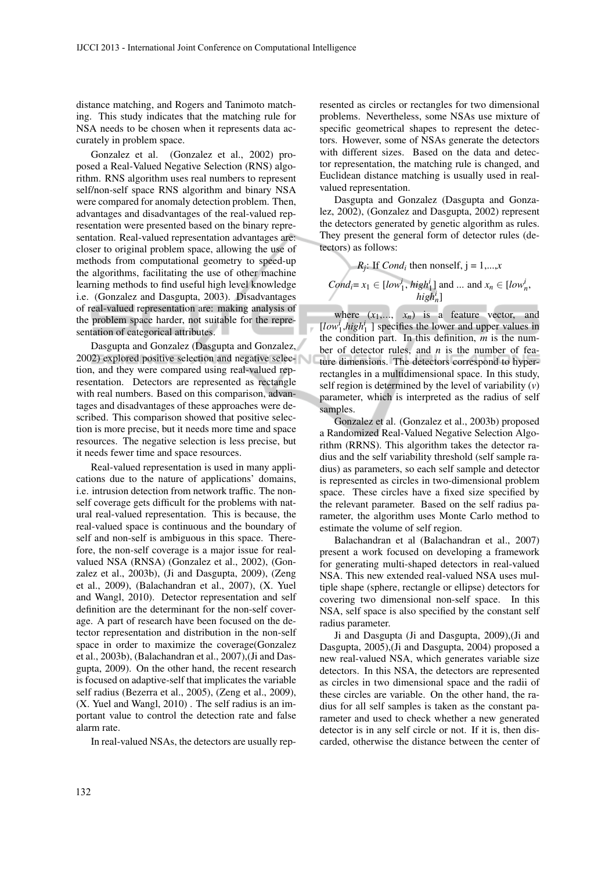distance matching, and Rogers and Tanimoto matching. This study indicates that the matching rule for NSA needs to be chosen when it represents data accurately in problem space.

Gonzalez et al. (Gonzalez et al., 2002) proposed a Real-Valued Negative Selection (RNS) algorithm. RNS algorithm uses real numbers to represent self/non-self space RNS algorithm and binary NSA were compared for anomaly detection problem. Then, advantages and disadvantages of the real-valued representation were presented based on the binary representation. Real-valued representation advantages are: closer to original problem space, allowing the use of methods from computational geometry to speed-up the algorithms, facilitating the use of other machine learning methods to find useful high level knowledge i.e. (Gonzalez and Dasgupta, 2003). Disadvantages of real-valued representation are: making analysis of the problem space harder, not suitable for the representation of categorical attributes.

Dasgupta and Gonzalez (Dasgupta and Gonzalez, 2002) explored positive selection and negative selection, and they were compared using real-valued representation. Detectors are represented as rectangle with real numbers. Based on this comparison, advantages and disadvantages of these approaches were described. This comparison showed that positive selection is more precise, but it needs more time and space resources. The negative selection is less precise, but it needs fewer time and space resources.

Real-valued representation is used in many applications due to the nature of applications' domains, i.e. intrusion detection from network traffic. The nonself coverage gets difficult for the problems with natural real-valued representation. This is because, the real-valued space is continuous and the boundary of self and non-self is ambiguous in this space. Therefore, the non-self coverage is a major issue for realvalued NSA (RNSA) (Gonzalez et al., 2002), (Gonzalez et al., 2003b), (Ji and Dasgupta, 2009), (Zeng et al., 2009), (Balachandran et al., 2007), (X. Yuel and Wangl, 2010). Detector representation and self definition are the determinant for the non-self coverage. A part of research have been focused on the detector representation and distribution in the non-self space in order to maximize the coverage(Gonzalez et al., 2003b), (Balachandran et al., 2007),(Ji and Dasgupta, 2009). On the other hand, the recent research is focused on adaptive-self that implicates the variable self radius (Bezerra et al., 2005), (Zeng et al., 2009), (X. Yuel and Wangl, 2010) . The self radius is an important value to control the detection rate and false alarm rate.

In real-valued NSAs, the detectors are usually rep-

resented as circles or rectangles for two dimensional problems. Nevertheless, some NSAs use mixture of specific geometrical shapes to represent the detectors. However, some of NSAs generate the detectors with different sizes. Based on the data and detector representation, the matching rule is changed, and Euclidean distance matching is usually used in realvalued representation.

Dasgupta and Gonzalez (Dasgupta and Gonzalez, 2002), (Gonzalez and Dasgupta, 2002) represent the detectors generated by genetic algorithm as rules. They present the general form of detector rules (detectors) as follows:

*R<sub>j</sub>*: If *Cond<sub>i</sub>* then nonself, 
$$
j = 1,...,x
$$
  
\n*Cond<sub>i</sub>* =  $x_1 \in [low_1^i, high_1^i]$  and ... and  $x_n \in [low_n^i, high_n^i]$ 

where  $(x_1,..., x_n)$  is a feature vector, and  $[low_1^i, high_1^i]$  specifies the lower and upper values in the condition part. In this definition, *m* is the number of detector rules, and *n* is the number of feature dimensions. The detectors correspond to hyperrectangles in a multidimensional space. In this study, self region is determined by the level of variability (*v*) parameter, which is interpreted as the radius of self samples.

Gonzalez et al. (Gonzalez et al., 2003b) proposed a Randomized Real-Valued Negative Selection Algorithm (RRNS). This algorithm takes the detector radius and the self variability threshold (self sample radius) as parameters, so each self sample and detector is represented as circles in two-dimensional problem space. These circles have a fixed size specified by the relevant parameter. Based on the self radius parameter, the algorithm uses Monte Carlo method to estimate the volume of self region.

Balachandran et al (Balachandran et al., 2007) present a work focused on developing a framework for generating multi-shaped detectors in real-valued NSA. This new extended real-valued NSA uses multiple shape (sphere, rectangle or ellipse) detectors for covering two dimensional non-self space. In this NSA, self space is also specified by the constant self radius parameter.

Ji and Dasgupta (Ji and Dasgupta, 2009),(Ji and Dasgupta, 2005),(Ji and Dasgupta, 2004) proposed a new real-valued NSA, which generates variable size detectors. In this NSA, the detectors are represented as circles in two dimensional space and the radii of these circles are variable. On the other hand, the radius for all self samples is taken as the constant parameter and used to check whether a new generated detector is in any self circle or not. If it is, then discarded, otherwise the distance between the center of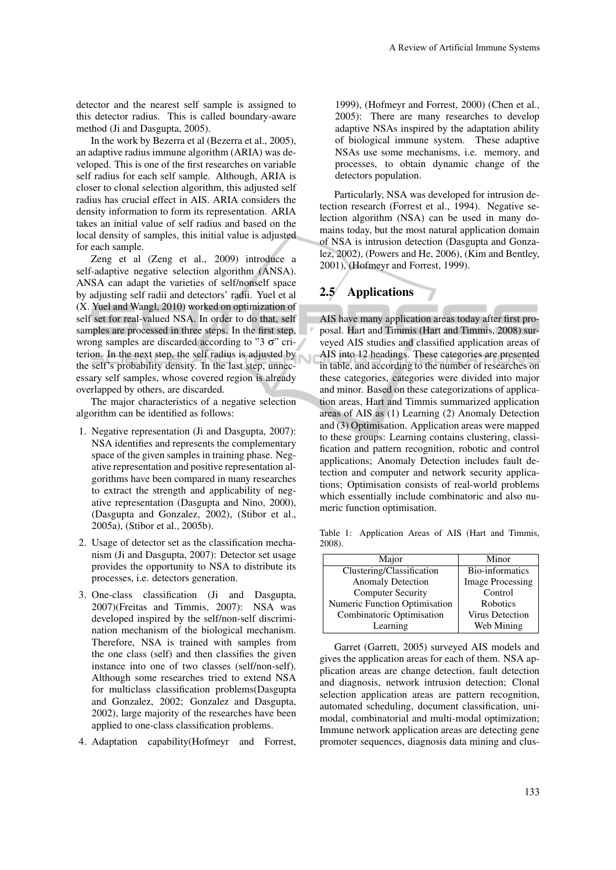detector and the nearest self sample is assigned to this detector radius. This is called boundary-aware method (Ji and Dasgupta, 2005).

In the work by Bezerra et al (Bezerra et al., 2005), an adaptive radius immune algorithm (ARIA) was developed. This is one of the first researches on variable self radius for each self sample. Although, ARIA is closer to clonal selection algorithm, this adjusted self radius has crucial effect in AIS. ARIA considers the density information to form its representation. ARIA takes an initial value of self radius and based on the local density of samples, this initial value is adjusted for each sample.

Zeng et al (Zeng et al., 2009) introduce a self-adaptive negative selection algorithm (ANSA). ANSA can adapt the varieties of self/nonself space by adjusting self radii and detectors' radii. Yuel et al (X. Yuel and Wangl, 2010) worked on optimization of self set for real-valued NSA. In order to do that, self samples are processed in three steps. In the first step, wrong samples are discarded according to "3  $\sigma$ " criterion. In the next step, the self radius is adjusted by the self's probability density. In the last step, unnecessary self samples, whose covered region is already overlapped by others, are discarded.

The major characteristics of a negative selection algorithm can be identified as follows:

- 1. Negative representation (Ji and Dasgupta, 2007): NSA identifies and represents the complementary space of the given samples in training phase. Negative representation and positive representation algorithms have been compared in many researches to extract the strength and applicability of negative representation (Dasgupta and Nino, 2000), (Dasgupta and Gonzalez, 2002), (Stibor et al., 2005a), (Stibor et al., 2005b).
- 2. Usage of detector set as the classification mechanism (Ji and Dasgupta, 2007): Detector set usage provides the opportunity to NSA to distribute its processes, i.e. detectors generation.
- 3. One-class classification (Ji and Dasgupta, 2007)(Freitas and Timmis, 2007): NSA was developed inspired by the self/non-self discrimination mechanism of the biological mechanism. Therefore, NSA is trained with samples from the one class (self) and then classifies the given instance into one of two classes (self/non-self). Although some researches tried to extend NSA for multiclass classification problems(Dasgupta and Gonzalez, 2002; Gonzalez and Dasgupta, 2002), large majority of the researches have been applied to one-class classification problems.
- 4. Adaptation capability(Hofmeyr and Forrest,

1999), (Hofmeyr and Forrest, 2000) (Chen et al., 2005): There are many researches to develop adaptive NSAs inspired by the adaptation ability of biological immune system. These adaptive NSAs use some mechanisms, i.e. memory, and processes, to obtain dynamic change of the detectors population.

Particularly, NSA was developed for intrusion detection research (Forrest et al., 1994). Negative selection algorithm (NSA) can be used in many domains today, but the most natural application domain of NSA is intrusion detection (Dasgupta and Gonzalez, 2002), (Powers and He, 2006), (Kim and Bentley, 2001), (Hofmeyr and Forrest, 1999).

## 2.5 Applications

AIS have many application areas today after first proposal. Hart and Timmis (Hart and Timmis, 2008) surveyed AIS studies and classified application areas of AIS into 12 headings. These categories are presented in table, and according to the number of researches on these categories, categories were divided into major and minor. Based on these categorizations of application areas, Hart and Timmis summarized application areas of AIS as (1) Learning (2) Anomaly Detection and (3) Optimisation. Application areas were mapped to these groups: Learning contains clustering, classification and pattern recognition, robotic and control applications; Anomaly Detection includes fault detection and computer and network security applications; Optimisation consists of real-world problems which essentially include combinatoric and also numeric function optimisation.

Table 1: Application Areas of AIS (Hart and Timmis, 2008).

| Major                         | Minor                   |
|-------------------------------|-------------------------|
| Clustering/Classification     | Bio-informatics         |
| <b>Anomaly Detection</b>      | <b>Image Processing</b> |
| <b>Computer Security</b>      | Control                 |
| Numeric Function Optimisation | Robotics                |
| Combinatoric Optimisation     | <b>Virus Detection</b>  |
| Learning                      | Web Mining              |

Garret (Garrett, 2005) surveyed AIS models and gives the application areas for each of them. NSA application areas are change detection, fault detection and diagnosis, network intrusion detection; Clonal selection application areas are pattern recognition, automated scheduling, document classification, unimodal, combinatorial and multi-modal optimization; Immune network application areas are detecting gene promoter sequences, diagnosis data mining and clus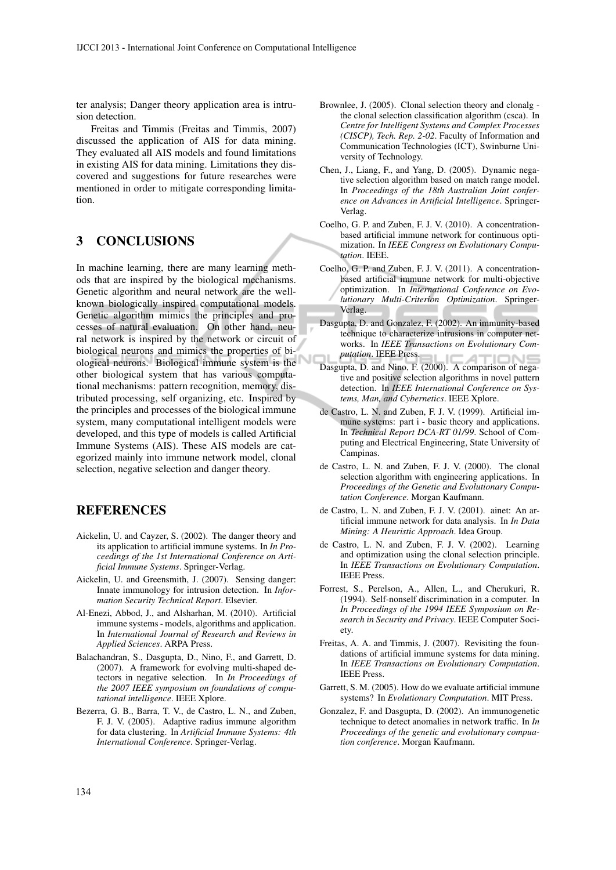ter analysis; Danger theory application area is intrusion detection.

Freitas and Timmis (Freitas and Timmis, 2007) discussed the application of AIS for data mining. They evaluated all AIS models and found limitations in existing AIS for data mining. Limitations they discovered and suggestions for future researches were mentioned in order to mitigate corresponding limitation.

## 3 CONCLUSIONS

In machine learning, there are many learning methods that are inspired by the biological mechanisms. Genetic algorithm and neural network are the wellknown biologically inspired computational models. Genetic algorithm mimics the principles and processes of natural evaluation. On other hand, neural network is inspired by the network or circuit of biological neurons and mimics the properties of biological neurons. Biological immune system is the other biological system that has various computational mechanisms: pattern recognition, memory, distributed processing, self organizing, etc. Inspired by the principles and processes of the biological immune system, many computational intelligent models were developed, and this type of models is called Artificial Immune Systems (AIS). These AIS models are categorized mainly into immune network model, clonal selection, negative selection and danger theory.

## REFERENCES

- Aickelin, U. and Cayzer, S. (2002). The danger theory and its application to artificial immune systems. In *In Proceedings of the 1st International Conference on Artificial Immune Systems*. Springer-Verlag.
- Aickelin, U. and Greensmith, J. (2007). Sensing danger: Innate immunology for intrusion detection. In *Information Security Technical Report*. Elsevier.
- Al-Enezi, Abbod, J., and Alsharhan, M. (2010). Artificial immune systems - models, algorithms and application. In *International Journal of Research and Reviews in Applied Sciences*. ARPA Press.
- Balachandran, S., Dasgupta, D., Nino, F., and Garrett, D. (2007). A framework for evolving multi-shaped detectors in negative selection. In *In Proceedings of the 2007 IEEE symposium on foundations of computational intelligence*. IEEE Xplore.
- Bezerra, G. B., Barra, T. V., de Castro, L. N., and Zuben, F. J. V. (2005). Adaptive radius immune algorithm for data clustering. In *Artificial Immune Systems: 4th International Conference*. Springer-Verlag.
- Brownlee, J. (2005). Clonal selection theory and clonalg the clonal selection classification algorithm (csca). In *Centre for Intelligent Systems and Complex Processes (CISCP), Tech. Rep. 2-02*. Faculty of Information and Communication Technologies (ICT), Swinburne University of Technology.
- Chen, J., Liang, F., and Yang, D. (2005). Dynamic negative selection algorithm based on match range model. In *Proceedings of the 18th Australian Joint conference on Advances in Artificial Intelligence*. Springer-Verlag.
- Coelho, G. P. and Zuben, F. J. V. (2010). A concentrationbased artificial immune network for continuous optimization. In *IEEE Congress on Evolutionary Computation*. IEEE.
- Coelho, G. P. and Zuben, F. J. V. (2011). A concentrationbased artificial immune network for multi-objective optimization. In *International Conference on Evolutionary Multi-Criterion Optimization*. Springer-Verlag.
- Dasgupta, D. and Gonzalez, F. (2002). An immunity-based technique to characterize intrusions in computer networks. In *IEEE Transactions on Evolutionary Computation*. IEEE Press. ⊿
- Dasgupta, D. and Nino, F. (2000). A comparison of negative and positive selection algorithms in novel pattern detection. In *IEEE International Conference on Systems, Man, and Cybernetics*. IEEE Xplore.
- de Castro, L. N. and Zuben, F. J. V. (1999). Artificial immune systems: part i - basic theory and applications. In *Technical Report DCA-RT 01/99*. School of Computing and Electrical Engineering, State University of Campinas.
- de Castro, L. N. and Zuben, F. J. V. (2000). The clonal selection algorithm with engineering applications. In *Proceedings of the Genetic and Evolutionary Computation Conference*. Morgan Kaufmann.
- de Castro, L. N. and Zuben, F. J. V. (2001). ainet: An artificial immune network for data analysis. In *In Data Mining: A Heuristic Approach*. Idea Group.
- de Castro, L. N. and Zuben, F. J. V. (2002). Learning and optimization using the clonal selection principle. In *IEEE Transactions on Evolutionary Computation*. IEEE Press.
- Forrest, S., Perelson, A., Allen, L., and Cherukuri, R. (1994). Self-nonself discrimination in a computer. In *In Proceedings of the 1994 IEEE Symposium on Research in Security and Privacy*. IEEE Computer Society.
- Freitas, A. A. and Timmis, J. (2007). Revisiting the foundations of artificial immune systems for data mining. In *IEEE Transactions on Evolutionary Computation*. IEEE Press.
- Garrett, S. M. (2005). How do we evaluate artificial immune systems? In *Evolutionary Computation*. MIT Press.
- Gonzalez, F. and Dasgupta, D. (2002). An immunogenetic technique to detect anomalies in network traffic. In *In Proceedings of the genetic and evolutionary compuation conference*. Morgan Kaufmann.